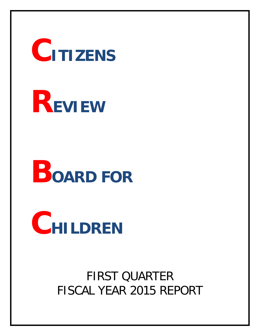**CITIZENS**

# **REVIEW**

# **BOARD FOR**

**CHILDREN**

FIRST QUARTER FISCAL YEAR 2015 REPORT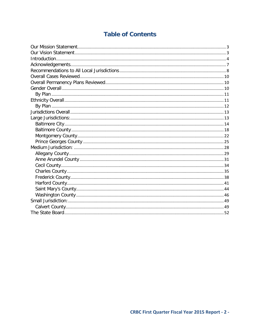# **Table of Contents**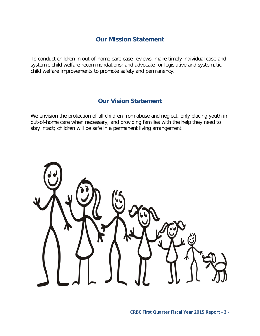# **Our Mission Statement**

<span id="page-2-0"></span>To conduct children in out-of-home care case reviews, make timely individual case and systemic child welfare recommendations; and advocate for legislative and systematic child welfare improvements to promote safety and permanency.

# **Our Vision Statement**

<span id="page-2-1"></span>We envision the protection of all children from abuse and neglect, only placing youth in out-of-home care when necessary; and providing families with the help they need to stay intact; children will be safe in a permanent living arrangement.

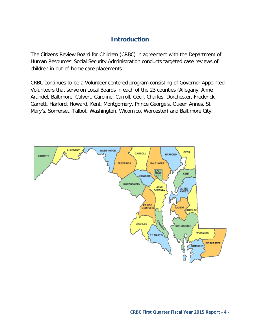# **Introduction**

<span id="page-3-0"></span>The Citizens Review Board for Children (CRBC) in agreement with the Department of Human Resources' Social Security Administration conducts targeted case reviews of children in out-of-home care placements.

CRBC continues to be a Volunteer centered program consisting of Governor Appointed Volunteers that serve on Local Boards in each of the 23 counties (Allegany, Anne Arundel, Baltimore, Calvert, Caroline, Carroll, Cecil, Charles, Dorchester, Frederick, Garrett, Harford, Howard, Kent, Montgomery, Prince George's, Queen Annes, St. Mary's, Somerset, Talbot, Washington, Wicomico, Worcester) and Baltimore City.

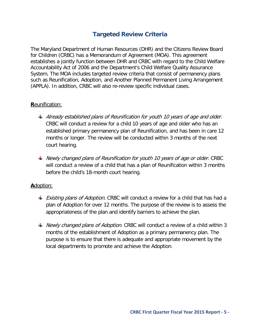# **Targeted Review Criteria**

The Maryland Department of Human Resources (DHR) and the Citizens Review Board for Children (CRBC) has a Memorandum of Agreement (MOA). This agreement establishes a jointly function between DHR and CRBC with regard to the Child Welfare Accountability Act of 2006 and the Department's Child Welfare Quality Assurance System. The MOA includes targeted review criteria that consist of permanency plans such as Reunification, Adoption, and Another Planned Permanent Living Arrangement (APPLA). In addition, CRBC will also re-review specific individual cases.

## **R**eunification:

- $\ddot{+}$  Already established plans of Reunification for youth 10 years of age and older. CRBC will conduct a review for a child 10 years of age and older who has an established primary permanency plan of Reunification, and has been in care 12 months or longer. The review will be conducted within 3 months of the next court hearing.
- $\ddot{\bullet}$  Newly changed plans of Reunification for youth 10 years of age or older. CRBC will conduct a review of a child that has a plan of Reunification within 3 months before the child's 18-month court hearing.

#### **A**doption:

- **Existing plans of Adoption.** CRBC will conduct a review for a child that has had a plan of Adoption for over 12 months. The purpose of the review is to assess the appropriateness of the plan and identify barriers to achieve the plan.
- Newly changed plans of Adoption. CRBC will conduct a review of a child within 3 months of the establishment of Adoption as a primary permanency plan. The purpose is to ensure that there is adequate and appropriate movement by the local departments to promote and achieve the Adoption.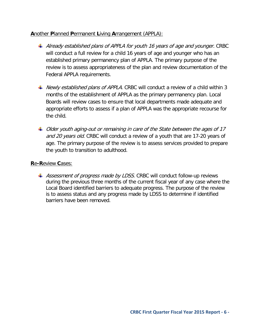## **A**nother **P**lanned **P**ermanent **L**iving **A**rrangement (APPLA):

- $\ddot{+}$  Already established plans of APPLA for youth 16 years of age and younger. CRBC will conduct a full review for a child 16 years of age and younger who has an established primary permanency plan of APPLA. The primary purpose of the review is to assess appropriateness of the plan and review documentation of the Federal APPLA requirements.
- Newly established plans of APPLA. CRBC will conduct a review of a child within 3 months of the establishment of APPLA as the primary permanency plan. Local Boards will review cases to ensure that local departments made adequate and appropriate efforts to assess if a plan of APPLA was the appropriate recourse for the child.
- $\ddot{\phantom{1}}$  Older youth aging-out or remaining in care of the State between the ages of 17 and 20 years old. CRBC will conduct a review of a youth that are 17-20 years of age. The primary purpose of the review is to assess services provided to prepare the youth to transition to adulthood.

## **R**e**-R**eview **C**ases:

 $\pm$  Assessment of progress made by LDSS. CRBC will conduct follow-up reviews during the previous three months of the current fiscal year of any case where the Local Board identified barriers to adequate progress. The purpose of the review is to assess status and any progress made by LDSS to determine if identified barriers have been removed.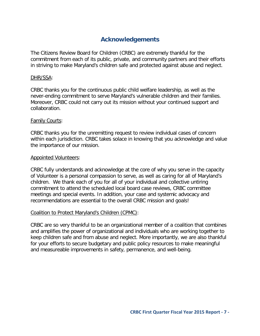# **Acknowledgements**

<span id="page-6-0"></span>The Citizens Review Board for Children (CRBC) are extremely thankful for the commitment from each of its public, private, and community partners and their efforts in striving to make Maryland's children safe and protected against abuse and neglect.

#### DHR/SSA:

CRBC thanks you for the continuous public child welfare leadership, as well as the never-ending commitment to serve Maryland's vulnerable children and their families. Moreover, CRBC could not carry out its mission without your continued support and collaboration.

#### Family Courts:

CRBC thanks you for the unremitting request to review individual cases of concern within each jurisdiction. CRBC takes solace in knowing that you acknowledge and value the importance of our mission.

#### Appointed Volunteers:

CRBC fully understands and acknowledge at the core of why you serve in the capacity of Volunteer is a personal compassion to serve, as well as caring for all of Maryland's children. We thank each of you for all of your individual and collective untiring commitment to attend the scheduled local board case reviews, CRBC committee meetings and special events. In addition, your case and systemic advocacy and recommendations are essential to the overall CRBC mission and goals!

#### Coalition to Protect Maryland's Children (CPMC):

CRBC are so very thankful to be an organizational member of a coalition that combines and amplifies the power of organizational and individuals who are working together to keep children safe and from abuse and neglect. More importantly, we are also thankful for your efforts to secure budgetary and public policy resources to make meaningful and measureable improvements in safety, permanence, and well-being.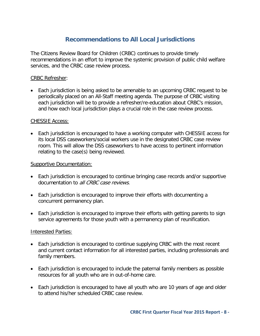# **Recommendations to All Local Jurisdictions**

<span id="page-7-0"></span>The Citizens Review Board for Children (CRBC) continues to provide timely recommendations in an effort to improve the systemic provision of public child welfare services, and the CRBC case review process.

## CRBC Refresher:

• Each jurisdiction is being asked to be amenable to an upcoming CRBC request to be periodically placed on an All-Staff meeting agenda. The purpose of CRBC visiting each jurisdiction will be to provide a refresher/re-education about CRBC's mission, and how each local jurisdiction plays a crucial role in the case review process.

#### CHESSIE Access:

• Each jurisdiction is encouraged to have a working computer with CHESSIE access for its local DSS caseworkers/social workers use in the designated CRBC case review room. This will allow the DSS caseworkers to have access to pertinent information relating to the case(s) being reviewed.

## Supportive Documentation:

- Each jurisdiction is encouraged to continue bringing case records and/or supportive documentation to all CRBC case reviews.
- Each jurisdiction is encouraged to improve their efforts with documenting a concurrent permanency plan.
- Each jurisdiction is encouraged to improve their efforts with getting parents to sign service agreements for those youth with a permanency plan of reunification.

#### Interested Parties:

- Each jurisdiction is encouraged to continue supplying CRBC with the most recent and current contact information for all interested parties, including professionals and family members.
- Each jurisdiction is encouraged to include the paternal family members as possible resources for all youth who are in out-of-home care.
- Each jurisdiction is encouraged to have all youth who are 10 years of age and older to attend his/her scheduled CRBC case review.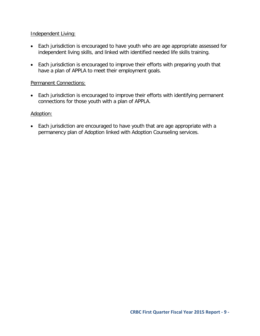## Independent Living:

- Each jurisdiction is encouraged to have youth who are age appropriate assessed for independent living skills, and linked with identified needed life skills training.
- Each jurisdiction is encouraged to improve their efforts with preparing youth that have a plan of APPLA to meet their employment goals.

## Permanent Connections:

• Each jurisdiction is encouraged to improve their efforts with identifying permanent connections for those youth with a plan of APPLA.

## Adoption:

• Each jurisdiction are encouraged to have youth that are age appropriate with a permanency plan of Adoption linked with Adoption Counseling services.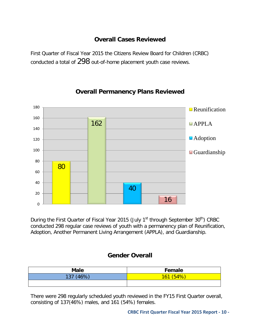# **Overall Cases Reviewed**

<span id="page-9-0"></span>First Quarter of Fiscal Year 2015 the Citizens Review Board for Children (CRBC) conducted a total of 298 out-of-home placement youth case reviews.

<span id="page-9-1"></span>

# **Overall Permanency Plans Reviewed**

During the First Quarter of Fiscal Year 2015 (July 1<sup>st</sup> through September 30<sup>th</sup>) CRBC conducted 298 regular case reviews of youth with a permanency plan of Reunification, Adoption, Another Permanent Living Arrangement (APPLA), and Guardianship.

# **Gender Overall**

<span id="page-9-2"></span>

| <b>Male</b>  | Female    |
|--------------|-----------|
| (160)<br>137 | AO<br>161 |
|              |           |

There were 298 regularly scheduled youth reviewed in the FY15 First Quarter overall, consisting of 137(46%) males, and 161 (54%) females.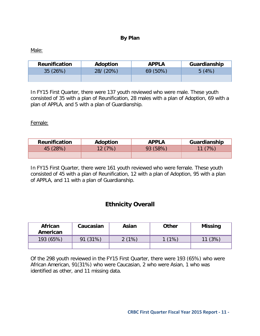## **By Plan**

<span id="page-10-0"></span>Male:

| <b>Reunification</b> | Adoption     | <b>APPLA</b> | Guardianship |
|----------------------|--------------|--------------|--------------|
| 35(26%)              | $28/ (20\%)$ | $69(50\%)$   | 5(4%)        |
|                      |              |              |              |

In FY15 First Quarter, there were 137 youth reviewed who were male. These youth consisted of 35 with a plan of Reunification, 28 males with a plan of Adoption, 69 with a plan of APPLA, and 5 with a plan of Guardianship.

Female:

| <b>Reunification</b> | Adoption | <b>APPLA</b> | Guardianship |
|----------------------|----------|--------------|--------------|
| 45 (28%)             | 12(7%)   | 93 (58%)     | 11(7%)       |
|                      |          |              |              |

In FY15 First Quarter, there were 161 youth reviewed who were female. These youth consisted of 45 with a plan of Reunification, 12 with a plan of Adoption, 95 with a plan of APPLA, and 11 with a plan of Guardianship.

# **Ethnicity Overall**

<span id="page-10-1"></span>

| <b>African</b><br>American | Caucasian | Asian | <b>Other</b> | <b>Missing</b> |
|----------------------------|-----------|-------|--------------|----------------|
| 193(65%)                   | (31%)     | 2(1%) | $(1\%$       | (3%)           |
|                            |           |       |              |                |

Of the 298 youth reviewed in the FY15 First Quarter, there were 193 (65%) who were African American, 91(31%) who were Caucasian, 2 who were Asian, 1 who was identified as other, and 11 missing data.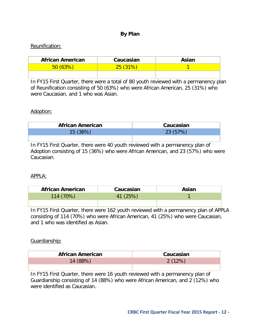## **By Plan**

## <span id="page-11-0"></span>Reunification:

| <b>African American</b> | Caucasian | Asian |
|-------------------------|-----------|-------|
| 50(63%)                 | 25(31%)   |       |
|                         |           |       |

In FY15 First Quarter, there were a total of 80 youth reviewed with a permanency plan of Reunification consisting of 50 (63%) who were African American, 25 (31%) who were Caucasian, and 1 who was Asian.

#### Adoption:

| African American | Caucasian |
|------------------|-----------|
| 15(36%)          | 23 (57%)  |
|                  |           |

In FY15 First Quarter, there were 40 youth reviewed with a permanency plan of Adoption consisting of 15 (36%) who were African American, and 23 (57%) who were Caucasian.

#### APPLA:

| <b>African American</b> | Caucasian | Asian |
|-------------------------|-----------|-------|
| 114 (70%)               | 41 (25%)  |       |
|                         |           |       |

In FY15 First Quarter, there were 162 youth reviewed with a permanency plan of APPLA consisting of 114 (70%) who were African American, 41 (25%) who were Caucasian, and 1 who was identified as Asian.

#### Guardianship:

| <b>African American</b> | Caucasian |
|-------------------------|-----------|
| 14 (88%)                | 2(12%)    |
|                         |           |

In FY15 First Quarter, there were 16 youth reviewed with a permanency plan of Guardianship consisting of 14 (88%) who were African American, and 2 (12%) who were identified as Caucasian.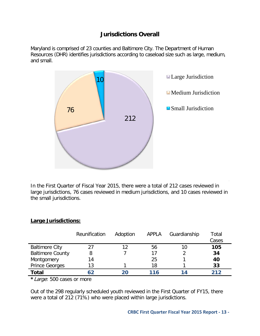# **Jurisdictions Overall**

<span id="page-12-0"></span>Maryland is comprised of 23 counties and Baltimore City. The Department of Human Resources (DHR) identifies jurisdictions according to caseload size such as large, medium, and small.



In the First Quarter of Fiscal Year 2015, there were a total of 212 cases reviewed in large jurisdictions, 76 cases reviewed in medium jurisdictions, and 10 cases reviewed in the small jurisdictions.

#### <span id="page-12-1"></span>**Large Jurisdictions:**

|                         | Reunification | Adoption | APPLA | Guardianship | Total<br>Cases |
|-------------------------|---------------|----------|-------|--------------|----------------|
| <b>Baltimore City</b>   | 27            | 12       | 56    | 10           | 105            |
| <b>Baltimore County</b> | 8             |          | 17    |              | 34             |
| Montgomery              | 14            |          | 25    |              | 40             |
| <b>Prince Georges</b>   | 13            |          | 18    |              | 33             |
| <b>Total</b>            | 62            |          | 116   | 14           | 212            |
| .<br>_ _ _              |               |          |       |              |                |

**\***Large: 500 cases or more

Out of the 298 regularly scheduled youth reviewed in the First Quarter of FY15, there were a total of 212 (71%) who were placed within large jurisdictions.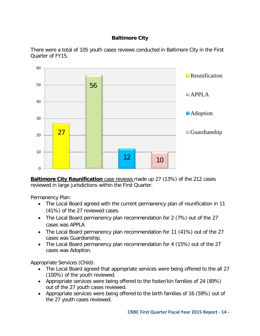## **Baltimore City**

<span id="page-13-0"></span>There were a total of 105 youth cases reviews conducted in Baltimore City in the First Quarter of FY15.



**Baltimore City Reunification** case reviews made up 27 (13%) of the 212 cases reviewed in large jurisdictions within the First Quarter.

Permanency Plan:

- The Local Board agreed with the current permanency plan of reunification in 11 (41%) of the 27 reviewed cases.
- The Local Board permanency plan recommendation for 2 (7%) out of the 27 cases was APPLA.
- The Local Board permanency plan recommendation for 11 (41%) out of the 27 cases was Guardianship.
- The Local Board permanency plan recommendation for 4 (15%) out of the 27 cases was Adoption.

Appropriate Services (Child):

- The Local Board agreed that appropriate services were being offered to the all 27 (100%) of the youth reviewed.
- Appropriate services were being offered to the foster/kin families of 24 (89%) out of the 27 youth cases reviewed.
- Appropriate services were being offered to the birth families of 16 (59%) out of the 27 youth cases reviewed.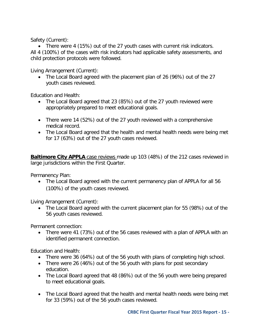Safety (Current):

• There were 4 (15%) out of the 27 youth cases with current risk indicators. All 4 (100%) of the cases with risk indicators had applicable safety assessments, and child protection protocols were followed.

Living Arrangement (Current):

• The Local Board agreed with the placement plan of 26 (96%) out of the 27 youth cases reviewed.

Education and Health:

- The Local Board agreed that 23 (85%) out of the 27 youth reviewed were appropriately prepared to meet educational goals.
- There were 14 (52%) out of the 27 youth reviewed with a comprehensive medical record.
- The Local Board agreed that the health and mental health needs were being met for 17 (63%) out of the 27 youth cases reviewed.

**Baltimore City APPLA** case reviews made up 103 (48%) of the 212 cases reviewed in large jurisdictions within the First Quarter.

Permanency Plan:

• The Local Board agreed with the current permanency plan of APPLA for all 56 (100%) of the youth cases reviewed.

Living Arrangement (Current):

• The Local Board agreed with the current placement plan for 55 (98%) out of the 56 youth cases reviewed.

Permanent connection:

• There were 41 (73%) out of the 56 cases reviewed with a plan of APPLA with an identified permanent connection.

- There were 36 (64%) out of the 56 youth with plans of completing high school.
- There were 26 (46%) out of the 56 youth with plans for post secondary education.
- The Local Board agreed that 48 (86%) out of the 56 youth were being prepared to meet educational goals.
- The Local Board agreed that the health and mental health needs were being met for 33 (59%) out of the 56 youth cases reviewed.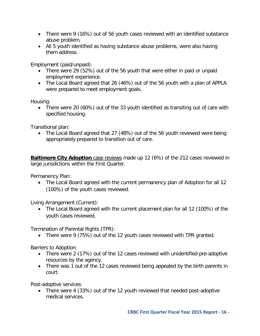- There were 9 (16%) out of 56 youth cases reviewed with an identified substance abuse problem.
- All 5 youth identified as having substance abuse problems, were also having them address.

Employment (paid/unpaid):

- There were 29 (52%) out of the 56 youth that were either in paid or unpaid employment experience.
- The Local Board agreed that 26 (46%) out of the 56 youth with a plan of APPLA were prepared to meet employment goals.

Housing:

• There were 20 (60%) out of the 33 youth identified as transiting out of care with specified housing.

Transitional plan:

• The Local Board agreed that 27 (48%) out of the 56 youth reviewed were being appropriately prepared to transition out of care.

**Baltimore City Adoption** case reviews made up 12 (6%) of the 212 cases reviewed in large jurisdictions within the First Quarter.

Permanency Plan:

• The Local Board agreed with the current permanency plan of Adoption for all 12 (100%) of the youth cases reviewed.

Living Arrangement (Current):

• The Local Board agreed with the current placement plan for all 12 (100%) of the youth cases reviewed.

Termination of Parental Rights (TPR):

• There were 9 (75%) out of the 12 youth cases reviewed with TPR granted.

Barriers to Adoption:

- There were 2 (17%) out of the 12 cases reviewed with unidentified pre-adoptive resources by the agency.
- There was 1 out of the 12 cases reviewed being appealed by the birth parents in court.

Post-adoptive services:

• There were 4 (33%) out of the 12 youth reviewed that needed post-adoptive medical services.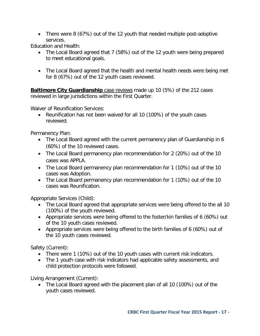• There were 8 (67%) out of the 12 youth that needed multiple post-adoptive services.

Education and Health:

- The Local Board agreed that 7 (58%) out of the 12 youth were being prepared to meet educational goals.
- The Local Board agreed that the health and mental health needs were being met for 8 (67%) out of the 12 youth cases reviewed.

**Baltimore City Guardianship** case reviews made up 10 (5%) of the 212 cases reviewed in large jurisdictions within the First Quarter.

Waiver of Reunification Services:

• Reunification has not been waived for all 10 (100%) of the youth cases reviewed.

Permanency Plan:

- The Local Board agreed with the current permanency plan of Guardianship in 6 (60%) of the 10 reviewed cases.
- The Local Board permanency plan recommendation for 2 (20%) out of the 10 cases was APPLA.
- The Local Board permanency plan recommendation for 1 (10%) out of the 10 cases was Adoption.
- The Local Board permanency plan recommendation for 1 (10%) out of the 10 cases was Reunification.

Appropriate Services (Child):

- The Local Board agreed that appropriate services were being offered to the all 10 (100%) of the youth reviewed.
- Appropriate services were being offered to the foster/kin families of 6 (60%) out of the 10 youth cases reviewed.
- Appropriate services were being offered to the birth families of 6 (60%) out of the 10 youth cases reviewed.

Safety (Current):

- There were 1 (10%) out of the 10 youth cases with current risk indicators.
- The 1 youth case with risk indicators had applicable safety assessments, and child protection protocols were followed.

Living Arrangement (Current):

• The Local Board agreed with the placement plan of all 10 (100%) out of the youth cases reviewed.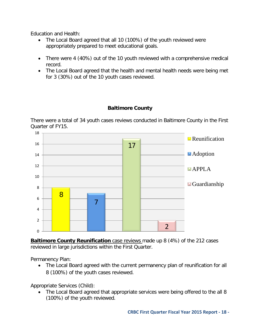Education and Health:

- The Local Board agreed that all 10 (100%) of the youth reviewed were appropriately prepared to meet educational goals.
- There were 4 (40%) out of the 10 youth reviewed with a comprehensive medical record.
- The Local Board agreed that the health and mental health needs were being met for 3 (30%) out of the 10 youth cases reviewed.

## **Baltimore County**

<span id="page-17-0"></span>There were a total of 34 youth cases reviews conducted in Baltimore County in the First Quarter of FY15.



**Baltimore County Reunification** case reviews made up 8 (4%) of the 212 cases reviewed in large jurisdictions within the First Quarter.

Permanency Plan:

• The Local Board agreed with the current permanency plan of reunification for all 8 (100%) of the youth cases reviewed.

Appropriate Services (Child):

• The Local Board agreed that appropriate services were being offered to the all 8 (100%) of the youth reviewed.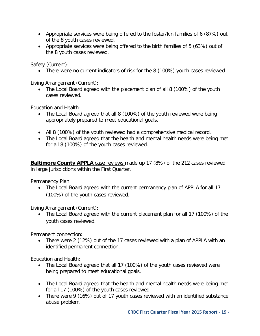- Appropriate services were being offered to the foster/kin families of 6 (87%) out of the 8 youth cases reviewed.
- Appropriate services were being offered to the birth families of 5 (63%) out of the 8 youth cases reviewed.

Safety (Current):

• There were no current indicators of risk for the 8 (100%) youth cases reviewed.

Living Arrangement (Current):

• The Local Board agreed with the placement plan of all 8 (100%) of the youth cases reviewed.

Education and Health:

- The Local Board agreed that all 8 (100%) of the youth reviewed were being appropriately prepared to meet educational goals.
- All 8 (100%) of the youth reviewed had a comprehensive medical record.
- The Local Board agreed that the health and mental health needs were being met for all 8 (100%) of the youth cases reviewed.

**Baltimore County APPLA** case reviews made up 17 (8%) of the 212 cases reviewed in large jurisdictions within the First Quarter.

Permanency Plan:

• The Local Board agreed with the current permanency plan of APPLA for all 17 (100%) of the youth cases reviewed.

Living Arrangement (Current):

• The Local Board agreed with the current placement plan for all 17 (100%) of the youth cases reviewed.

Permanent connection:

• There were 2 (12%) out of the 17 cases reviewed with a plan of APPLA with an identified permanent connection.

- The Local Board agreed that all 17 (100%) of the youth cases reviewed were being prepared to meet educational goals.
- The Local Board agreed that the health and mental health needs were being met for all 17 (100%) of the youth cases reviewed.
- There were 9 (16%) out of 17 youth cases reviewed with an identified substance abuse problem.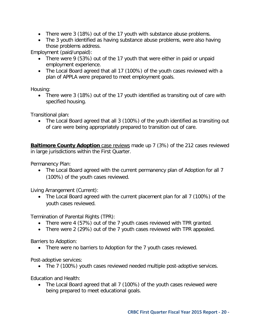- There were 3 (18%) out of the 17 youth with substance abuse problems.
- The 3 youth identified as having substance abuse problems, were also having those problems address.

Employment (paid/unpaid):

- There were 9 (53%) out of the 17 youth that were either in paid or unpaid employment experience.
- The Local Board agreed that all 17 (100%) of the youth cases reviewed with a plan of APPLA were prepared to meet employment goals.

Housing:

• There were 3 (18%) out of the 17 youth identified as transiting out of care with specified housing.

Transitional plan:

• The Local Board agreed that all 3 (100%) of the youth identified as transiting out of care were being appropriately prepared to transition out of care.

**Baltimore County Adoption** case reviews made up 7 (3%) of the 212 cases reviewed in large jurisdictions within the First Quarter.

Permanency Plan:

• The Local Board agreed with the current permanency plan of Adoption for all 7 (100%) of the youth cases reviewed.

Living Arrangement (Current):

• The Local Board agreed with the current placement plan for all 7 (100%) of the youth cases reviewed.

Termination of Parental Rights (TPR):

- There were 4 (57%) out of the 7 youth cases reviewed with TPR granted.
- There were 2 (29%) out of the 7 youth cases reviewed with TPR appealed.

Barriers to Adoption:

• There were no barriers to Adoption for the 7 youth cases reviewed.

Post-adoptive services:

• The 7 (100%) youth cases reviewed needed multiple post-adoptive services.

Education and Health:

• The Local Board agreed that all 7 (100%) of the youth cases reviewed were being prepared to meet educational goals.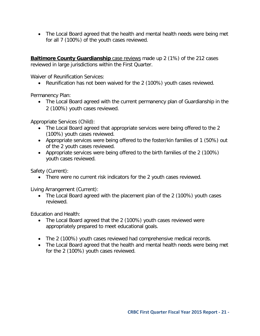• The Local Board agreed that the health and mental health needs were being met for all 7 (100%) of the youth cases reviewed.

**Baltimore County Guardianship** case reviews made up 2 (1%) of the 212 cases reviewed in large jurisdictions within the First Quarter.

Waiver of Reunification Services:

• Reunification has not been waived for the 2 (100%) youth cases reviewed.

Permanency Plan:

• The Local Board agreed with the current permanency plan of Guardianship in the 2 (100%) youth cases reviewed.

Appropriate Services (Child):

- The Local Board agreed that appropriate services were being offered to the 2 (100%) youth cases reviewed.
- Appropriate services were being offered to the foster/kin families of 1 (50%) out of the 2 youth cases reviewed.
- Appropriate services were being offered to the birth families of the 2 (100%) youth cases reviewed.

Safety (Current):

• There were no current risk indicators for the 2 youth cases reviewed.

Living Arrangement (Current):

• The Local Board agreed with the placement plan of the 2 (100%) youth cases reviewed.

- The Local Board agreed that the 2 (100%) youth cases reviewed were appropriately prepared to meet educational goals.
- The 2 (100%) youth cases reviewed had comprehensive medical records.
- The Local Board agreed that the health and mental health needs were being met for the 2 (100%) youth cases reviewed.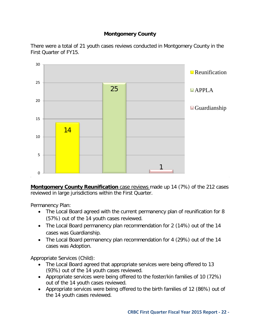## **Montgomery County**

<span id="page-21-0"></span>There were a total of 21 youth cases reviews conducted in Montgomery County in the First Quarter of FY15.



**Montgomery County Reunification** case reviews made up 14 (7%) of the 212 cases reviewed in large jurisdictions within the First Quarter.

Permanency Plan:

- The Local Board agreed with the current permanency plan of reunification for 8 (57%) out of the 14 youth cases reviewed.
- The Local Board permanency plan recommendation for 2 (14%) out of the 14 cases was Guardianship.
- The Local Board permanency plan recommendation for 4 (29%) out of the 14 cases was Adoption.

Appropriate Services (Child):

- The Local Board agreed that appropriate services were being offered to 13 (93%) out of the 14 youth cases reviewed.
- Appropriate services were being offered to the foster/kin families of 10 (72%) out of the 14 youth cases reviewed.
- Appropriate services were being offered to the birth families of 12 (86%) out of the 14 youth cases reviewed.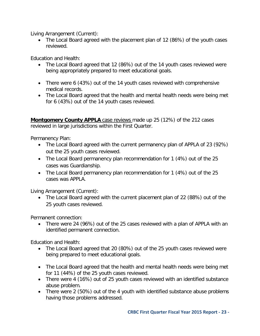Living Arrangement (Current):

• The Local Board agreed with the placement plan of 12 (86%) of the youth cases reviewed.

Education and Health:

- The Local Board agreed that 12 (86%) out of the 14 youth cases reviewed were being appropriately prepared to meet educational goals.
- There were 6 (43%) out of the 14 youth cases reviewed with comprehensive medical records.
- The Local Board agreed that the health and mental health needs were being met for 6 (43%) out of the 14 youth cases reviewed.

**Montgomery County APPLA** case reviews made up 25 (12%) of the 212 cases reviewed in large jurisdictions within the First Quarter.

Permanency Plan:

- The Local Board agreed with the current permanency plan of APPLA of 23 (92%) out the 25 youth cases reviewed.
- The Local Board permanency plan recommendation for 1 (4%) out of the 25 cases was Guardianship.
- The Local Board permanency plan recommendation for 1 (4%) out of the 25 cases was APPLA.

Living Arrangement (Current):

• The Local Board agreed with the current placement plan of 22 (88%) out of the 25 youth cases reviewed.

Permanent connection:

• There were 24 (96%) out of the 25 cases reviewed with a plan of APPLA with an identified permanent connection.

- The Local Board agreed that 20 (80%) out of the 25 youth cases reviewed were being prepared to meet educational goals.
- The Local Board agreed that the health and mental health needs were being met for 11 (44%) of the 25 youth cases reviewed.
- There were 4 (16%) out of 25 youth cases reviewed with an identified substance abuse problem.
- There were 2 (50%) out of the 4 youth with identified substance abuse problems having those problems addressed.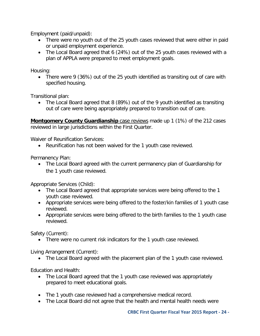Employment (paid/unpaid):

- There were no youth out of the 25 youth cases reviewed that were either in paid or unpaid employment experience.
- The Local Board agreed that 6 (24%) out of the 25 youth cases reviewed with a plan of APPLA were prepared to meet employment goals.

Housing:

• There were 9 (36%) out of the 25 youth identified as transiting out of care with specified housing.

Transitional plan:

• The Local Board agreed that 8 (89%) out of the 9 youth identified as transiting out of care were being appropriately prepared to transition out of care.

**Montgomery County Guardianship** case reviews made up 1 (1%) of the 212 cases reviewed in large jurisdictions within the First Quarter.

Waiver of Reunification Services:

• Reunification has not been waived for the 1 youth case reviewed.

Permanency Plan:

• The Local Board agreed with the current permanency plan of Guardianship for the 1 youth case reviewed.

Appropriate Services (Child):

- The Local Board agreed that appropriate services were being offered to the 1 youth case reviewed.
- Appropriate services were being offered to the foster/kin families of 1 youth case reviewed.
- Appropriate services were being offered to the birth families to the 1 youth case reviewed.

Safety (Current):

• There were no current risk indicators for the 1 youth case reviewed.

Living Arrangement (Current):

• The Local Board agreed with the placement plan of the 1 youth case reviewed.

- The Local Board agreed that the 1 youth case reviewed was appropriately prepared to meet educational goals.
- The 1 youth case reviewed had a comprehensive medical record.
- The Local Board did not agree that the health and mental health needs were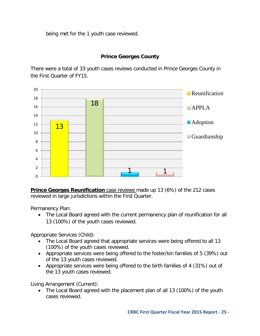being met for the 1 youth case reviewed.

## **Prince Georges County**

<span id="page-24-0"></span>There were a total of 33 youth cases reviews conducted in Prince Georges County in the First Quarter of FY15.



**Prince Georges Reunification** case reviews made up 13 (6%) of the 212 cases reviewed in large jurisdictions within the First Quarter.

Permanency Plan:

• The Local Board agreed with the current permanency plan of reunification for all 13 (100%) of the youth cases reviewed.

Appropriate Services (Child):

- The Local Board agreed that appropriate services were being offered to all 13 (100%) of the youth cases reviewed.
- Appropriate services were being offered to the foster/kin families of 5 (39%) out of the 13 youth cases reviewed.
- Appropriate services were being offered to the birth families of 4 (31%) out of the 13 youth cases reviewed.

Living Arrangement (Current):

• The Local Board agreed with the placement plan of all 13 (100%) of the youth cases reviewed.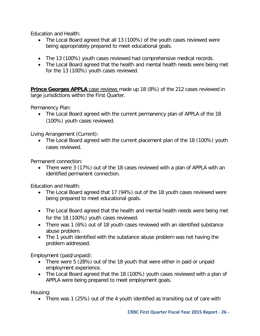Education and Health:

- The Local Board agreed that all 13 (100%) of the youth cases reviewed were being appropriately prepared to meet educational goals.
- The 13 (100%) youth cases reviewed had comprehensive medical records.
- The Local Board agreed that the health and mental health needs were being met for the 13 (100%) youth cases reviewed.

**Prince Georges APPLA** case reviews made up 18 (8%) of the 212 cases reviewed in large jurisdictions within the First Quarter.

Permanency Plan:

• The Local Board agreed with the current permanency plan of APPLA of the 18 (100%) youth cases reviewed.

Living Arrangement (Current):

• The Local Board agreed with the current placement plan of the 18 (100%) youth cases reviewed.

Permanent connection:

• There were 3 (17%) out of the 18 cases reviewed with a plan of APPLA with an identified permanent connection.

Education and Health:

- The Local Board agreed that 17 (94%) out of the 18 youth cases reviewed were being prepared to meet educational goals.
- The Local Board agreed that the health and mental health needs were being met for the 18 (100%) youth cases reviewed.
- There was 1 (6%) out of 18 youth cases reviewed with an identified substance abuse problem.
- The 1 youth identified with the substance abuse problem was not having the problem addressed.

Employment (paid/unpaid):

- There were 5 (28%) out of the 18 youth that were either in paid or unpaid employment experience.
- The Local Board agreed that the 18 (100%) youth cases reviewed with a plan of APPLA were being prepared to meet employment goals.

Housing:

• There was 1 (25%) out of the 4 youth identified as transiting out of care with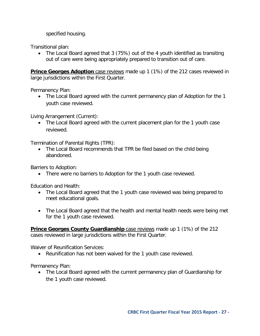specified housing.

Transitional plan:

• The Local Board agreed that 3 (75%) out of the 4 youth identified as transiting out of care were being appropriately prepared to transition out of care.

**Prince Georges Adoption** case reviews made up 1 (1%) of the 212 cases reviewed in large jurisdictions within the First Quarter.

Permanency Plan:

• The Local Board agreed with the current permanency plan of Adoption for the 1 youth case reviewed.

Living Arrangement (Current):

• The Local Board agreed with the current placement plan for the 1 youth case reviewed.

Termination of Parental Rights (TPR):

• The Local Board recommends that TPR be filed based on the child being abandoned.

Barriers to Adoption:

• There were no barriers to Adoption for the 1 youth case reviewed.

Education and Health:

- The Local Board agreed that the 1 youth case reviewed was being prepared to meet educational goals.
- The Local Board agreed that the health and mental health needs were being met for the 1 youth case reviewed.

**Prince Georges County Guardianship** case reviews made up 1 (1%) of the 212 cases reviewed in large jurisdictions within the First Quarter.

Waiver of Reunification Services:

• Reunification has not been waived for the 1 youth case reviewed.

Permanency Plan:

• The Local Board agreed with the current permanency plan of Guardianship for the 1 youth case reviewed.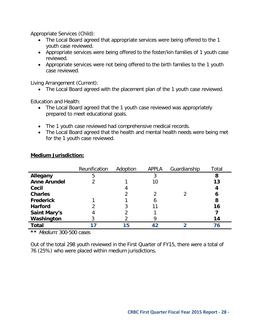Appropriate Services (Child):

- The Local Board agreed that appropriate services were being offered to the 1 youth case reviewed.
- Appropriate services were being offered to the foster/kin families of 1 youth case reviewed.
- Appropriate services were not being offered to the birth families to the 1 youth case reviewed.

Living Arrangement (Current):

• The Local Board agreed with the placement plan of the 1 youth case reviewed.

Education and Health:

- The Local Board agreed that the 1 youth case reviewed was appropriately prepared to meet educational goals.
- The 1 youth case reviewed had comprehensive medical records.
- The Local Board agreed that the health and mental health needs were being met for the 1 youth case reviewed.

|                     | Reunification | Adoption | <b>APPLA</b> | Guardianship | Total |
|---------------------|---------------|----------|--------------|--------------|-------|
| Allegany            | 5             |          |              |              | 8     |
| <b>Anne Arundel</b> |               |          | 10           |              | 13    |
| Cecil               |               |          |              |              |       |
| <b>Charles</b>      |               |          |              |              | 6     |
| <b>Frederick</b>    |               |          |              |              | 8     |
| <b>Harford</b>      |               |          |              |              | 16    |
| <b>Saint Mary's</b> |               |          |              |              |       |
| Washington          |               |          |              |              | 14    |
| <b>Total</b>        |               | 15       | 42           |              | 76    |

## <span id="page-27-0"></span>**Medium Jurisdiction:**

**\*\*** Medium: 300-500 cases

Out of the total 298 youth reviewed in the First Quarter of FY15, there were a total of 76 (25%) who were placed within medium jurisdictions.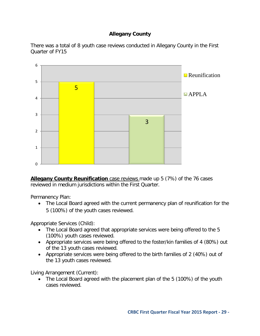## **Allegany County**

<span id="page-28-0"></span>There was a total of 8 youth case reviews conducted in Allegany County in the First Quarter of FY15



**Allegany County Reunification** case reviews made up 5 (7%) of the 76 cases reviewed in medium jurisdictions within the First Quarter.

Permanency Plan:

• The Local Board agreed with the current permanency plan of reunification for the 5 (100%) of the youth cases reviewed.

Appropriate Services (Child):

- The Local Board agreed that appropriate services were being offered to the 5 (100%) youth cases reviewed.
- Appropriate services were being offered to the foster/kin families of 4 (80%) out of the 13 youth cases reviewed.
- Appropriate services were being offered to the birth families of 2 (40%) out of the 13 youth cases reviewed.

Living Arrangement (Current):

• The Local Board agreed with the placement plan of the 5 (100%) of the youth cases reviewed.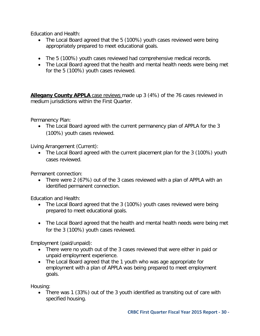Education and Health:

- The Local Board agreed that the 5 (100%) youth cases reviewed were being appropriately prepared to meet educational goals.
- The 5 (100%) youth cases reviewed had comprehensive medical records.
- The Local Board agreed that the health and mental health needs were being met for the 5 (100%) youth cases reviewed.

**Allegany County APPLA** case reviews made up 3 (4%) of the 76 cases reviewed in medium jurisdictions within the First Quarter.

Permanency Plan:

• The Local Board agreed with the current permanency plan of APPLA for the 3 (100%) youth cases reviewed.

Living Arrangement (Current):

• The Local Board agreed with the current placement plan for the 3 (100%) youth cases reviewed.

Permanent connection:

• There were 2 (67%) out of the 3 cases reviewed with a plan of APPLA with an identified permanent connection.

Education and Health:

- The Local Board agreed that the 3 (100%) youth cases reviewed were being prepared to meet educational goals.
- The Local Board agreed that the health and mental health needs were being met for the 3 (100%) youth cases reviewed.

Employment (paid/unpaid):

- There were no youth out of the 3 cases reviewed that were either in paid or unpaid employment experience.
- The Local Board agreed that the 1 youth who was age appropriate for employment with a plan of APPLA was being prepared to meet employment goals.

Housing:

• There was 1 (33%) out of the 3 youth identified as transiting out of care with specified housing.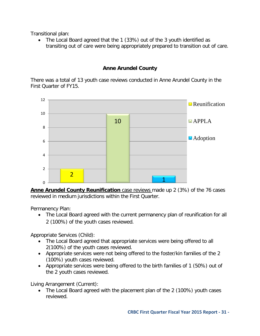Transitional plan:

• The Local Board agreed that the 1 (33%) out of the 3 youth identified as transiting out of care were being appropriately prepared to transition out of care.

## **Anne Arundel County**

<span id="page-30-0"></span>There was a total of 13 youth case reviews conducted in Anne Arundel County in the First Quarter of FY15.



**Anne Arundel County Reunification** case reviews made up 2 (3%) of the 76 cases reviewed in medium jurisdictions within the First Quarter.

Permanency Plan:

• The Local Board agreed with the current permanency plan of reunification for all 2 (100%) of the youth cases reviewed.

Appropriate Services (Child):

- The Local Board agreed that appropriate services were being offered to all 2(100%) of the youth cases reviewed.
- Appropriate services were not being offered to the foster/kin families of the 2 (100%) youth cases reviewed.
- Appropriate services were being offered to the birth families of 1 (50%) out of the 2 youth cases reviewed.

Living Arrangement (Current):

• The Local Board agreed with the placement plan of the 2 (100%) youth cases reviewed.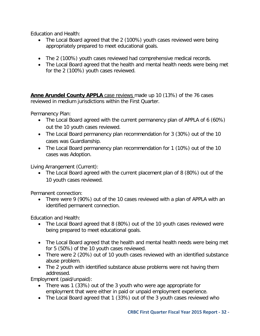Education and Health:

- The Local Board agreed that the 2 (100%) youth cases reviewed were being appropriately prepared to meet educational goals.
- The 2 (100%) youth cases reviewed had comprehensive medical records.
- The Local Board agreed that the health and mental health needs were being met for the 2 (100%) youth cases reviewed.

**Anne Arundel County APPLA** case reviews made up 10 (13%) of the 76 cases reviewed in medium jurisdictions within the First Quarter.

Permanency Plan:

- The Local Board agreed with the current permanency plan of APPLA of 6 (60%) out the 10 youth cases reviewed.
- The Local Board permanency plan recommendation for 3 (30%) out of the 10 cases was Guardianship.
- The Local Board permanency plan recommendation for 1 (10%) out of the 10 cases was Adoption.

Living Arrangement (Current):

• The Local Board agreed with the current placement plan of 8 (80%) out of the 10 youth cases reviewed.

Permanent connection:

• There were 9 (90%) out of the 10 cases reviewed with a plan of APPLA with an identified permanent connection.

Education and Health:

- The Local Board agreed that 8 (80%) out of the 10 youth cases reviewed were being prepared to meet educational goals.
- The Local Board agreed that the health and mental health needs were being met for 5 (50%) of the 10 youth cases reviewed.
- There were 2 (20%) out of 10 youth cases reviewed with an identified substance abuse problem.
- The 2 youth with identified substance abuse problems were not having them addressed.

Employment (paid/unpaid):

- There was 1 (33%) out of the 3 youth who were age appropriate for employment that were either in paid or unpaid employment experience.
- The Local Board agreed that 1 (33%) out of the 3 youth cases reviewed who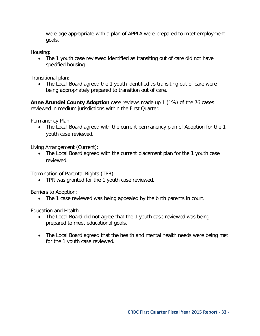were age appropriate with a plan of APPLA were prepared to meet employment goals.

Housing:

• The 1 youth case reviewed identified as transiting out of care did not have specified housing.

Transitional plan:

• The Local Board agreed the 1 youth identified as transiting out of care were being appropriately prepared to transition out of care.

**Anne Arundel County Adoption** case reviews made up 1 (1%) of the 76 cases reviewed in medium jurisdictions within the First Quarter.

Permanency Plan:

• The Local Board agreed with the current permanency plan of Adoption for the 1 youth case reviewed.

Living Arrangement (Current):

• The Local Board agreed with the current placement plan for the 1 youth case reviewed.

Termination of Parental Rights (TPR):

• TPR was granted for the 1 youth case reviewed.

Barriers to Adoption:

• The 1 case reviewed was being appealed by the birth parents in court.

- The Local Board did not agree that the 1 youth case reviewed was being prepared to meet educational goals.
- The Local Board agreed that the health and mental health needs were being met for the 1 youth case reviewed.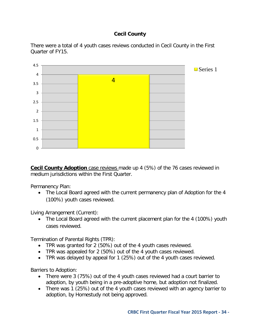## **Cecil County**

<span id="page-33-0"></span>There were a total of 4 youth cases reviews conducted in Cecil County in the First Quarter of FY15.



**Cecil County Adoption** case reviews made up 4 (5%) of the 76 cases reviewed in medium jurisdictions within the First Quarter.

Permanency Plan:

• The Local Board agreed with the current permanency plan of Adoption for the 4 (100%) youth cases reviewed.

Living Arrangement (Current):

• The Local Board agreed with the current placement plan for the 4 (100%) youth cases reviewed.

Termination of Parental Rights (TPR):

- TPR was granted for 2 (50%) out of the 4 youth cases reviewed.
- TPR was appealed for 2 (50%) out of the 4 youth cases reviewed.
- TPR was delayed by appeal for 1 (25%) out of the 4 youth cases reviewed.

Barriers to Adoption:

- There were 3 (75%) out of the 4 youth cases reviewed had a court barrier to adoption, by youth being in a pre-adoptive home, but adoption not finalized.
- There was 1 (25%) out of the 4 youth cases reviewed with an agency barrier to adoption, by Homestudy not being approved.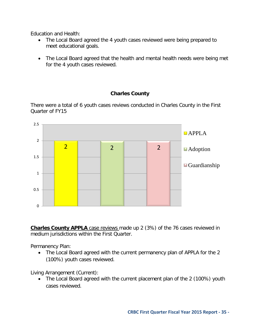Education and Health:

- The Local Board agreed the 4 youth cases reviewed were being prepared to meet educational goals.
- The Local Board agreed that the health and mental health needs were being met for the 4 youth cases reviewed.

## **Charles County**

<span id="page-34-0"></span>There were a total of 6 youth cases reviews conducted in Charles County in the First Quarter of FY15



**Charles County APPLA** case reviews made up 2 (3%) of the 76 cases reviewed in medium jurisdictions within the First Quarter.

Permanency Plan:

• The Local Board agreed with the current permanency plan of APPLA for the 2 (100%) youth cases reviewed.

Living Arrangement (Current):

• The Local Board agreed with the current placement plan of the 2 (100%) youth cases reviewed.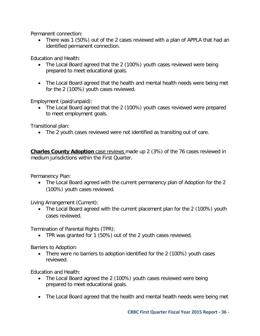Permanent connection:

• There was 1 (50%) out of the 2 cases reviewed with a plan of APPLA that had an identified permanent connection.

Education and Health:

- The Local Board agreed that the 2 (100%) youth cases reviewed were being prepared to meet educational goals.
- The Local Board agreed that the health and mental health needs were being met for the 2 (100%) youth cases reviewed.

Employment (paid/unpaid):

• The Local Board agreed that the 2 (100%) youth cases reviewed were prepared to meet employment goals.

Transitional plan:

• The 2 youth cases reviewed were not identified as transiting out of care.

**Charles County Adoption** case reviews made up 2 (3%) of the 76 cases reviewed in medium jurisdictions within the First Quarter.

Permanency Plan:

• The Local Board agreed with the current permanency plan of Adoption for the 2 (100%) youth cases reviewed.

Living Arrangement (Current):

• The Local Board agreed with the current placement plan for the 2 (100%) youth cases reviewed.

Termination of Parental Rights (TPR):

• TPR was granted for 1 (50%) out of the 2 youth cases reviewed.

Barriers to Adoption:

• There were no barriers to adoption identified for the 2 (100%) youth cases reviewed.

- The Local Board agreed the 2 (100%) youth cases reviewed were being prepared to meet educational goals.
- The Local Board agreed that the health and mental health needs were being met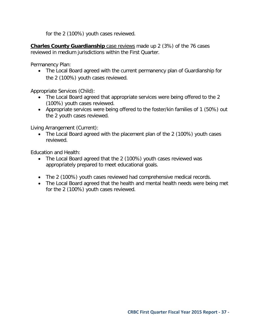for the 2 (100%) youth cases reviewed.

**Charles County Guardianship** case reviews made up 2 (3%) of the 76 cases reviewed in medium jurisdictions within the First Quarter.

Permanency Plan:

• The Local Board agreed with the current permanency plan of Guardianship for the 2 (100%) youth cases reviewed.

Appropriate Services (Child):

- The Local Board agreed that appropriate services were being offered to the 2 (100%) youth cases reviewed.
- Appropriate services were being offered to the foster/kin families of 1 (50%) out the 2 youth cases reviewed.

Living Arrangement (Current):

• The Local Board agreed with the placement plan of the 2 (100%) youth cases reviewed.

- The Local Board agreed that the 2 (100%) youth cases reviewed was appropriately prepared to meet educational goals.
- The 2 (100%) youth cases reviewed had comprehensive medical records.
- The Local Board agreed that the health and mental health needs were being met for the 2 (100%) youth cases reviewed.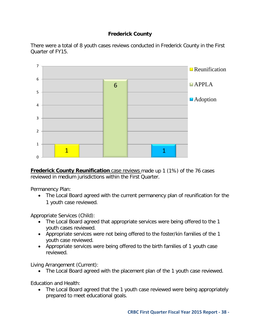## **Frederick County**

<span id="page-37-0"></span>There were a total of 8 youth cases reviews conducted in Frederick County in the First Quarter of FY15.



**Frederick County Reunification** case reviews made up 1 (1%) of the 76 cases reviewed in medium jurisdictions within the First Quarter.

Permanency Plan:

• The Local Board agreed with the current permanency plan of reunification for the 1 youth case reviewed.

Appropriate Services (Child):

- The Local Board agreed that appropriate services were being offered to the 1 youth cases reviewed.
- Appropriate services were not being offered to the foster/kin families of the 1 youth case reviewed.
- Appropriate services were being offered to the birth families of 1 youth case reviewed.

Living Arrangement (Current):

• The Local Board agreed with the placement plan of the 1 youth case reviewed.

Education and Health:

• The Local Board agreed that the 1 youth case reviewed were being appropriately prepared to meet educational goals.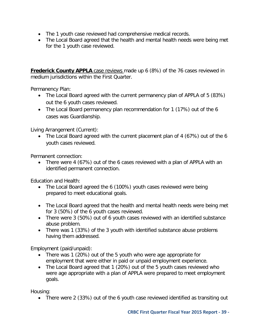- The 1 youth case reviewed had comprehensive medical records.
- The Local Board agreed that the health and mental health needs were being met for the 1 youth case reviewed.

**Frederick County APPLA** case reviews made up 6 (8%) of the 76 cases reviewed in medium jurisdictions within the First Quarter.

Permanency Plan:

- The Local Board agreed with the current permanency plan of APPLA of 5 (83%) out the 6 youth cases reviewed.
- The Local Board permanency plan recommendation for 1 (17%) out of the 6 cases was Guardianship.

Living Arrangement (Current):

• The Local Board agreed with the current placement plan of 4 (67%) out of the 6 youth cases reviewed.

Permanent connection:

• There were 4 (67%) out of the 6 cases reviewed with a plan of APPLA with an identified permanent connection.

Education and Health:

- The Local Board agreed the 6 (100%) youth cases reviewed were being prepared to meet educational goals.
- The Local Board agreed that the health and mental health needs were being met for 3 (50%) of the 6 youth cases reviewed.
- There were 3 (50%) out of 6 youth cases reviewed with an identified substance abuse problem.
- There was 1 (33%) of the 3 youth with identified substance abuse problems having them addressed.

Employment (paid/unpaid):

- There was 1 (20%) out of the 5 youth who were age appropriate for employment that were either in paid or unpaid employment experience.
- The Local Board agreed that 1 (20%) out of the 5 youth cases reviewed who were age appropriate with a plan of APPLA were prepared to meet employment goals.

Housing:

• There were 2 (33%) out of the 6 youth case reviewed identified as transiting out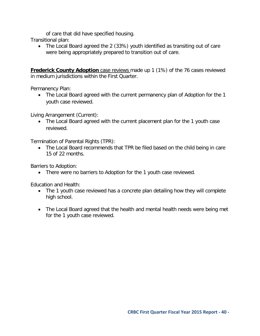of care that did have specified housing.

Transitional plan:

• The Local Board agreed the 2 (33%) youth identified as transiting out of care were being appropriately prepared to transition out of care.

**Frederick County Adoption** case reviews made up 1 (1%) of the 76 cases reviewed in medium jurisdictions within the First Quarter.

Permanency Plan:

• The Local Board agreed with the current permanency plan of Adoption for the 1 youth case reviewed.

Living Arrangement (Current):

• The Local Board agreed with the current placement plan for the 1 youth case reviewed.

Termination of Parental Rights (TPR):

• The Local Board recommends that TPR be filed based on the child being in care 15 of 22 months.

Barriers to Adoption:

• There were no barriers to Adoption for the 1 youth case reviewed.

- The 1 youth case reviewed has a concrete plan detailing how they will complete high school.
- The Local Board agreed that the health and mental health needs were being met for the 1 youth case reviewed.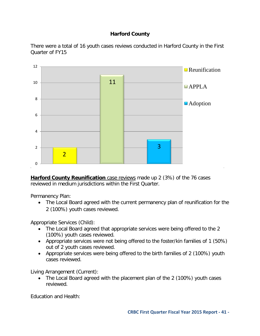## **Harford County**

<span id="page-40-0"></span>There were a total of 16 youth cases reviews conducted in Harford County in the First Quarter of FY15



**Harford County Reunification** case reviews made up 2 (3%) of the 76 cases reviewed in medium jurisdictions within the First Quarter.

Permanency Plan:

• The Local Board agreed with the current permanency plan of reunification for the 2 (100%) youth cases reviewed.

Appropriate Services (Child):

- The Local Board agreed that appropriate services were being offered to the 2 (100%) youth cases reviewed.
- Appropriate services were not being offered to the foster/kin families of 1 (50%) out of 2 youth cases reviewed.
- Appropriate services were being offered to the birth families of 2 (100%) youth cases reviewed.

Living Arrangement (Current):

• The Local Board agreed with the placement plan of the 2 (100%) youth cases reviewed.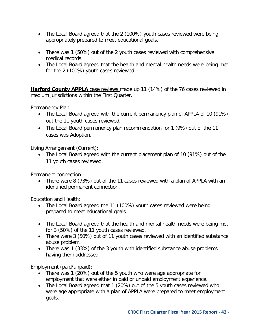- The Local Board agreed that the 2 (100%) youth cases reviewed were being appropriately prepared to meet educational goals.
- There was 1 (50%) out of the 2 youth cases reviewed with comprehensive medical records.
- The Local Board agreed that the health and mental health needs were being met for the 2 (100%) youth cases reviewed.

**Harford County APPLA** case reviews made up 11 (14%) of the 76 cases reviewed in medium jurisdictions within the First Quarter.

Permanency Plan:

- The Local Board agreed with the current permanency plan of APPLA of 10 (91%) out the 11 youth cases reviewed.
- The Local Board permanency plan recommendation for 1 (9%) out of the 11 cases was Adoption.

Living Arrangement (Current):

• The Local Board agreed with the current placement plan of 10 (91%) out of the 11 youth cases reviewed.

Permanent connection:

• There were 8 (73%) out of the 11 cases reviewed with a plan of APPLA with an identified permanent connection.

Education and Health:

- The Local Board agreed the 11 (100%) youth cases reviewed were being prepared to meet educational goals.
- The Local Board agreed that the health and mental health needs were being met for 3 (50%) of the 11 youth cases reviewed.
- There were 3 (50%) out of 11 youth cases reviewed with an identified substance abuse problem.
- There was 1 (33%) of the 3 youth with identified substance abuse problems having them addressed.

Employment (paid/unpaid):

- There was 1 (20%) out of the 5 youth who were age appropriate for employment that were either in paid or unpaid employment experience.
- The Local Board agreed that 1 (20%) out of the 5 youth cases reviewed who were age appropriate with a plan of APPLA were prepared to meet employment goals.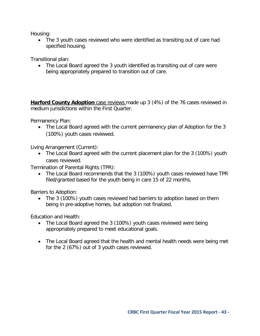Housing:

• The 3 youth cases reviewed who were identified as transiting out of care had specified housing.

Transitional plan:

• The Local Board agreed the 3 youth identified as transiting out of care were being appropriately prepared to transition out of care.

**Harford County Adoption** case reviews made up 3 (4%) of the 76 cases reviewed in medium jurisdictions within the First Quarter.

Permanency Plan:

• The Local Board agreed with the current permanency plan of Adoption for the 3 (100%) youth cases reviewed.

Living Arrangement (Current):

• The Local Board agreed with the current placement plan for the 3 (100%) youth cases reviewed.

Termination of Parental Rights (TPR):

• The Local Board recommends that the 3 (100%) youth cases reviewed have TPR filed/granted based for the youth being in care 15 of 22 months.

Barriers to Adoption:

• The 3 (100%) youth cases reviewed had barriers to adoption based on them being in pre-adoptive homes, but adoption not finalized.

- The Local Board agreed the 3 (100%) youth cases reviewed were being appropriately prepared to meet educational goals.
- The Local Board agreed that the health and mental health needs were being met for the 2 (67%) out of 3 youth cases reviewed.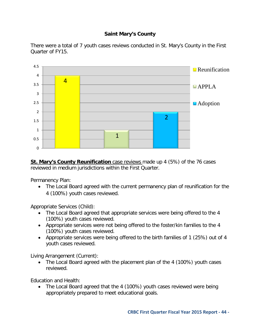## **Saint Mary's County**

<span id="page-43-0"></span>There were a total of 7 youth cases reviews conducted in St. Mary's County in the First Quarter of FY15.



**St. Mary's County Reunification** case reviews made up 4 (5%) of the 76 cases reviewed in medium jurisdictions within the First Quarter.

Permanency Plan:

• The Local Board agreed with the current permanency plan of reunification for the 4 (100%) youth cases reviewed.

Appropriate Services (Child):

- The Local Board agreed that appropriate services were being offered to the 4 (100%) youth cases reviewed.
- Appropriate services were not being offered to the foster/kin families to the 4 (100%) youth cases reviewed.
- Appropriate services were being offered to the birth families of 1 (25%) out of 4 youth cases reviewed.

Living Arrangement (Current):

• The Local Board agreed with the placement plan of the 4 (100%) youth cases reviewed.

Education and Health:

• The Local Board agreed that the 4 (100%) youth cases reviewed were being appropriately prepared to meet educational goals.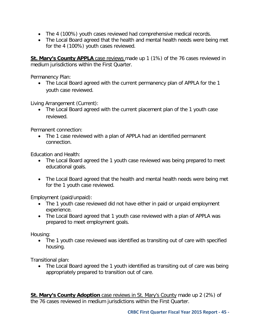- The 4 (100%) youth cases reviewed had comprehensive medical records.
- The Local Board agreed that the health and mental health needs were being met for the 4 (100%) youth cases reviewed.

**St. Mary's County APPLA** case reviews made up 1 (1%) of the 76 cases reviewed in medium jurisdictions within the First Quarter.

Permanency Plan:

• The Local Board agreed with the current permanency plan of APPLA for the 1 youth case reviewed.

Living Arrangement (Current):

• The Local Board agreed with the current placement plan of the 1 youth case reviewed.

Permanent connection:

• The 1 case reviewed with a plan of APPLA had an identified permanent connection.

Education and Health:

- The Local Board agreed the 1 youth case reviewed was being prepared to meet educational goals.
- The Local Board agreed that the health and mental health needs were being met for the 1 youth case reviewed.

Employment (paid/unpaid):

- The 1 youth case reviewed did not have either in paid or unpaid employment experience.
- The Local Board agreed that 1 youth case reviewed with a plan of APPLA was prepared to meet employment goals.

Housing:

• The 1 youth case reviewed was identified as transiting out of care with specified housing.

Transitional plan:

• The Local Board agreed the 1 youth identified as transiting out of care was being appropriately prepared to transition out of care.

**St. Mary's County Adoption** case reviews in St. Mary's County made up 2 (2%) of the 76 cases reviewed in medium jurisdictions within the First Quarter.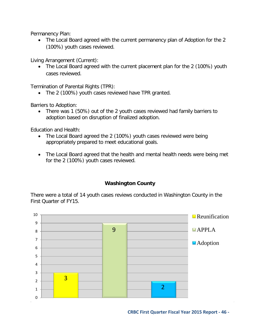Permanency Plan:

• The Local Board agreed with the current permanency plan of Adoption for the 2 (100%) youth cases reviewed.

Living Arrangement (Current):

• The Local Board agreed with the current placement plan for the 2 (100%) youth cases reviewed.

Termination of Parental Rights (TPR):

• The 2 (100%) youth cases reviewed have TPR granted.

Barriers to Adoption:

• There was 1 (50%) out of the 2 youth cases reviewed had family barriers to adoption based on disruption of finalized adoption.

Education and Health:

- The Local Board agreed the 2 (100%) youth cases reviewed were being appropriately prepared to meet educational goals.
- The Local Board agreed that the health and mental health needs were being met for the 2 (100%) youth cases reviewed.

## **Washington County**

<span id="page-45-0"></span>There were a total of 14 youth cases reviews conducted in Washington County in the First Quarter of FY15.



**CRBC First Quarter Fiscal Year 2015 Report - 46 -**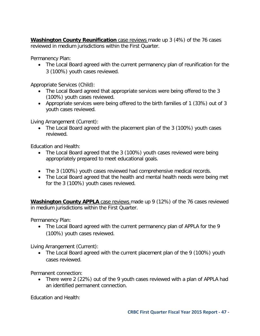**Washington County Reunification** case reviews made up 3 (4%) of the 76 cases reviewed in medium jurisdictions within the First Quarter.

Permanency Plan:

• The Local Board agreed with the current permanency plan of reunification for the 3 (100%) youth cases reviewed.

Appropriate Services (Child):

- The Local Board agreed that appropriate services were being offered to the 3 (100%) youth cases reviewed.
- Appropriate services were being offered to the birth families of 1 (33%) out of 3 youth cases reviewed.

Living Arrangement (Current):

• The Local Board agreed with the placement plan of the 3 (100%) youth cases reviewed.

Education and Health:

- The Local Board agreed that the 3 (100%) youth cases reviewed were being appropriately prepared to meet educational goals.
- The 3 (100%) youth cases reviewed had comprehensive medical records.
- The Local Board agreed that the health and mental health needs were being met for the 3 (100%) youth cases reviewed.

**Washington County APPLA** case reviews made up 9 (12%) of the 76 cases reviewed in medium jurisdictions within the First Quarter.

Permanency Plan:

• The Local Board agreed with the current permanency plan of APPLA for the 9 (100%) youth cases reviewed.

Living Arrangement (Current):

• The Local Board agreed with the current placement plan of the 9 (100%) youth cases reviewed.

Permanent connection:

• There were 2 (22%) out of the 9 youth cases reviewed with a plan of APPLA had an identified permanent connection.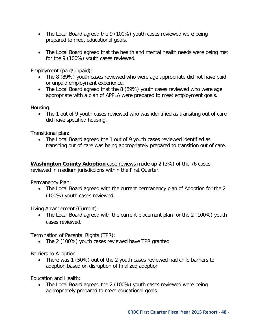- The Local Board agreed the 9 (100%) youth cases reviewed were being prepared to meet educational goals.
- The Local Board agreed that the health and mental health needs were being met for the 9 (100%) youth cases reviewed.

Employment (paid/unpaid):

- The 8 (89%) youth cases reviewed who were age appropriate did not have paid or unpaid employment experience.
- The Local Board agreed that the 8 (89%) youth cases reviewed who were age appropriate with a plan of APPLA were prepared to meet employment goals.

Housing:

• The 1 out of 9 youth cases reviewed who was identified as transiting out of care did have specified housing.

Transitional plan:

• The Local Board agreed the 1 out of 9 youth cases reviewed identified as transiting out of care was being appropriately prepared to transition out of care.

**Washington County Adoption** case reviews made up 2 (3%) of the 76 cases reviewed in medium jurisdictions within the First Quarter.

Permanency Plan:

• The Local Board agreed with the current permanency plan of Adoption for the 2 (100%) youth cases reviewed.

Living Arrangement (Current):

• The Local Board agreed with the current placement plan for the 2 (100%) youth cases reviewed.

Termination of Parental Rights (TPR):

• The 2 (100%) youth cases reviewed have TPR granted.

Barriers to Adoption:

• There was 1 (50%) out of the 2 youth cases reviewed had child barriers to adoption based on disruption of finalized adoption.

Education and Health:

• The Local Board agreed the 2 (100%) youth cases reviewed were being appropriately prepared to meet educational goals.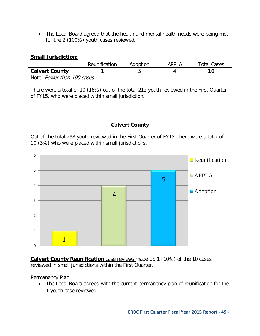• The Local Board agreed that the health and mental health needs were being met for the 2 (100%) youth cases reviewed.

## <span id="page-48-0"></span>**Small Jurisdiction:**

|                            | Reunification | Adoption | APPI A | <b>Total Cases</b> |
|----------------------------|---------------|----------|--------|--------------------|
| <b>Calvert County</b>      |               |          |        |                    |
| Note: Fewer than 100 cases |               |          |        |                    |

There were a total of 10 (16%) out of the total 212 youth reviewed in the First Quarter of FY15, who were placed within small jurisdiction.

## **Calvert County**

<span id="page-48-1"></span>Out of the total 298 youth reviewed in the First Quarter of FY15, there were a total of 10 (3%) who were placed within small jurisdictions.



**Calvert County Reunification** case reviews made up 1 (10%) of the 10 cases reviewed in small jurisdictions within the First Quarter.

Permanency Plan:

• The Local Board agreed with the current permanency plan of reunification for the 1 youth case reviewed.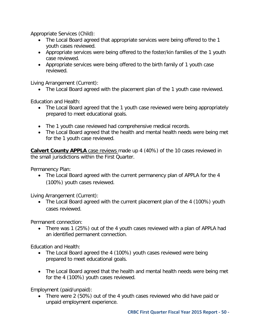Appropriate Services (Child):

- The Local Board agreed that appropriate services were being offered to the 1 youth cases reviewed.
- Appropriate services were being offered to the foster/kin families of the 1 youth case reviewed.
- Appropriate services were being offered to the birth family of 1 youth case reviewed.

Living Arrangement (Current):

• The Local Board agreed with the placement plan of the 1 youth case reviewed.

Education and Health:

- The Local Board agreed that the 1 youth case reviewed were being appropriately prepared to meet educational goals.
- The 1 youth case reviewed had comprehensive medical records.
- The Local Board agreed that the health and mental health needs were being met for the 1 youth case reviewed.

**Calvert County APPLA** case reviews made up 4 (40%) of the 10 cases reviewed in the small jurisdictions within the First Quarter.

Permanency Plan:

• The Local Board agreed with the current permanency plan of APPLA for the 4 (100%) youth cases reviewed.

Living Arrangement (Current):

• The Local Board agreed with the current placement plan of the 4 (100%) youth cases reviewed.

Permanent connection:

• There was 1 (25%) out of the 4 youth cases reviewed with a plan of APPLA had an identified permanent connection.

Education and Health:

- The Local Board agreed the 4 (100%) youth cases reviewed were being prepared to meet educational goals.
- The Local Board agreed that the health and mental health needs were being met for the 4 (100%) youth cases reviewed.

Employment (paid/unpaid):

• There were 2 (50%) out of the 4 youth cases reviewed who did have paid or unpaid employment experience.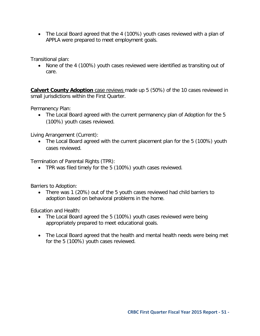• The Local Board agreed that the 4 (100%) youth cases reviewed with a plan of APPLA were prepared to meet employment goals.

Transitional plan:

• None of the 4 (100%) youth cases reviewed were identified as transiting out of care.

**Calvert County Adoption** case reviews made up 5 (50%) of the 10 cases reviewed in small jurisdictions within the First Quarter.

Permanency Plan:

• The Local Board agreed with the current permanency plan of Adoption for the 5 (100%) youth cases reviewed.

Living Arrangement (Current):

• The Local Board agreed with the current placement plan for the 5 (100%) youth cases reviewed.

Termination of Parental Rights (TPR):

• TPR was filed timely for the 5 (100%) youth cases reviewed.

Barriers to Adoption:

• There was 1 (20%) out of the 5 youth cases reviewed had child barriers to adoption based on behavioral problems in the home.

- The Local Board agreed the 5 (100%) youth cases reviewed were being appropriately prepared to meet educational goals.
- The Local Board agreed that the health and mental health needs were being met for the 5 (100%) youth cases reviewed.